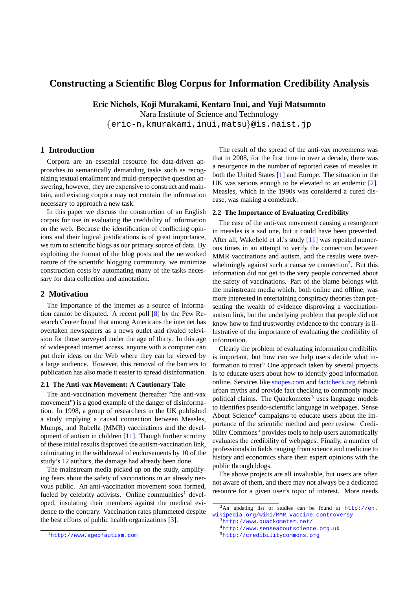# **Constructing a Scientific Blog Corpus for Information Credibility Analysis**

**Eric Nichols, Koji Murakami, Kentaro Inui, and Yuji Matsumoto**

Nara Institute of Science and Technology feric-n,kmurakami,inui,matsug@is.naist.jp

## **1 Introduction**

Corpora are an essential resource for data-driven approaches to semantically demanding tasks such as recognizing textual entailment and multi-perspective question answering, however, they are expensive to construct and maintain, and existing corpora may not contain the information necessary to approach a new task.

In this paper we discuss the construction of an English corpus for use in evaluating the credibility of information on the web. Because the identification of conflicting opinions and their logical justifications is of great importance, we turn to scientific blogs as our primary source of data. By exploiting the format of the blog posts and the networked nature of the scientific blogging community, we minimize construction costs by automating many of the tasks necessary for data collection and annotation.

## **2 Motivation**

The importance of the internet as a source of information cannot be disputed. A recent poll [\[8\]](#page-3-0) by the Pew Research Center found that among Americans the internet has overtaken newspapers as a news outlet and rivaled television for those surveyed under the age of thirty. In this age of widespread internet access, anyone with a computer can put their ideas on the Web where they can be viewed by a large audience. However, this removal of the barriers to publication has also made it easier to spread disinformation.

#### **2.1 The Anti-vax Movement: A Cautionary Tale**

The anti-vaccination movement (hereafter "the anti-vax movement") is a good example of the danger of disinformation. In 1998, a group of researchers in the UK published a study implying a causal connection between Measles, Mumps, and Rubella (MMR) vaccinations and the development of autism in children [\[11\]](#page-3-1). Though further scrutiny of these initial results disproved the autism-vaccination link, culminating in the withdrawal of endorsements by 10 of the study's 12 authors, the damage had already been done.

The mainstream media picked up on the study, amplifying fears about the safety of vaccinations in an already nervous public. An anti-vaccination movement soon formed, fueled by celebrity activists. Online communities<sup>[1](#page-0-0)</sup> developed, insulating their members against the medical evidence to the contrary. Vaccination rates plummeted despite the best efforts of public health organizations [\[3\]](#page-3-2).

The result of the spread of the anti-vax movements was that in 2008, for the first time in over a decade, there was a resurgence in the number of reported cases of measles in both the United States [\[1\]](#page-3-3) and Europe. The situation in the UK was serious enough to be elevated to an endemic [\[2\]](#page-3-4). Measles, which in the 1990s was considered a cured disease, was making a comeback.

#### **2.2 The Importance of Evaluating Credibility**

The case of the anti-vax movement causing a resurgence in measles is a sad one, but it could have been prevented. After all, Wakefield et al.'s study [\[11\]](#page-3-1) was repeated numerous times in an attempt to verify the connection between MMR vaccinations and autism, and the results were over-whelmingly against such a causative connection<sup>[2](#page-0-1)</sup>. But this information did not get to the very people concerned about the safety of vaccinations. Part of the blame belongs with the mainstream media which, both online and offline, was more interested in entertaining conspiracy theories than presenting the wealth of evidence disproving a vaccinationautism link, but the underlying problem that people did not know how to find trustworthy evidence to the contrary is illustrative of the importance of evaluating the credibility of information.

Clearly the problem of evaluating information credibility is important, but how can we help users decide what information to trust? One approach taken by several projects is to educate users about how to identify good information online. Services like [snopes.com](http://www.snopes.com) and [factcheck.org](http://www.factcheck.org) debunk urban myths and provide fact checking to commonly made political claims. The Quackometer<sup>[3](#page-0-2)</sup> uses language models to identifies pseudo-scientific language in webpages. Sense About Science<sup>[4](#page-0-3)</sup> campaigns to educate users about the importance of the scientific method and peer review. Credi-bility Commons<sup>[5](#page-0-4)</sup> provides tools to help users automatically evaluates the credibility of webpages. Finally, a number of professionals in fields ranging from science and medicine to history and economics share their expert opinions with the public through blogs.

The above projects are all invaluable, but users are often not aware of them, and there may not always be a dedicated resource for a given user's topic of interest. More needs

<span id="page-0-1"></span> ${}^{2}$ An updating list of studies can be found at  $http://en.$ [wikipedia.org/wiki/MMR\\_vaccine\\_controversy](http://en.wikipedia.org/wiki/MMR_vaccine_controversy)

<span id="page-0-2"></span><sup>3</sup><http://www.quackometer.net/>

<span id="page-0-3"></span><sup>4</sup><http://www.senseaboutscience.org.uk>

<span id="page-0-4"></span><sup>5</sup><http://credibilitycommons.org>

<span id="page-0-0"></span><sup>1</sup><http://www.ageofautism.com>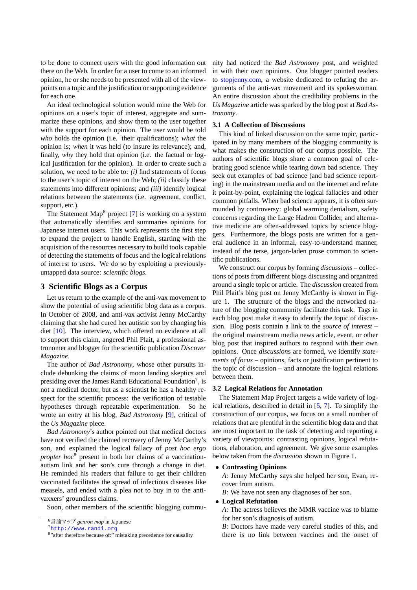to be done to connect users with the good information out there on the Web. In order for a user to come to an informed opinion, he or she needs to be presented with all of the viewpoints on a topic and the justification or supporting evidence for each one.

An ideal technological solution would mine the Web for opinions on a user's topic of interest, aggregate and summarize these opinions, and show them to the user together with the support for each opinion. The user would be told *who* holds the opinion (i.e. their qualifications); *what* the opinion is; *when* it was held (to insure its relevance); and, finally, *why* they hold that opinion (i.e. the factual or logical justification for the opinion). In order to create such a solution, we need to be able to: *(i)* find statements of focus to the user's topic of interest on the Web; *(ii)* classify these statements into different opinions; and *(iii)* identify logical relations between the statements (i.e. agreement, conflict, support, etc.).

The Statement Map<sup>[6](#page-1-0)</sup> project  $[7]$  is working on a system that automatically identifies and summaries opinions for Japanese internet users. This work represents the first step to expand the project to handle English, starting with the acquisition of the resources necessary to build tools capable of detecting the statements of focus and the logical relations of interest to users. We do so by exploiting a previouslyuntapped data source: *scientific blogs*.

## **3 Scientific Blogs as a Corpus**

Let us return to the example of the anti-vax movement to show the potential of using scientific blog data as a corpus. In October of 2008, and anti-vax activist Jenny McCarthy claiming that she had cured her autistic son by changing his diet [\[10\]](#page-3-6). The interview, which offered no evidence at all to support this claim, angered Phil Plait, a professional astronomer and blogger for the scientific publication *Discover Magazine*.

The author of *Bad Astronomy*, whose other pursuits include debunking the claims of moon landing skeptics and presiding over the James Randi Educational Foundation<sup>[7](#page-1-1)</sup>, is not a medical doctor, but as a scientist he has a healthy respect for the scientific process: the verification of testable hypotheses through repeatable experimentation. So he wrote an entry at his blog, *Bad Astronomy* [\[9\]](#page-3-7), critical of the *Us Magazine* piece.

*Bad Astronomy*'s author pointed out that medical doctors have not verified the claimed recovery of Jenny McCarthy's son, and explained the logical fallacy of *post hoc ergo propter hoc*[8](#page-1-2) present in both her claims of a vaccinationautism link and her son's cure through a change in diet. He reminded his readers that failure to get their children vaccinated facilitates the spread of infectious diseases like measels, and ended with a plea not to buy in to the antivaxxers' groundless claims.

Soon, other members of the scientific blogging commu-

nity had noticed the *Bad Astronomy* post, and weighted in with their own opinions. One blogger pointed readers to [stopjenny.com,](http://www.stopjenny.com) a website dedicated to refuting the arguments of the anti-vax movement and its spokeswoman. An entire discussion about the credibility problems in the *Us Magazine* article was sparked by the blog post at *Bad Astronomy*.

## **3.1 A Collection of Discussions**

This kind of linked discussion on the same topic, participated in by many members of the blogging community is what makes the construction of our corpus possible. The authors of scientific blogs share a common goal of celebrating good science while tearing down bad science. They seek out examples of bad science (and bad science reporting) in the mainstream media and on the internet and refute it point-by-point, explaining the logical fallacies and other common pitfalls. When bad science appears, it is often surrounded by controversy: global warming denialism, safety concerns regarding the Large Hadron Collider, and alternative medicine are often-addressed topics by science bloggers. Furthermore, the blogs posts are written for a general audience in an informal, easy-to-understand manner, instead of the terse, jargon-laden prose common to scientific publications.

We construct our corpus by forming *discussions* – collections of posts from different blogs discussing and organized around a single topic or article. The *discussion* created from Phil Plait's blog post on Jenny McCarthy is shown in Figure [1.](#page-2-0) The structure of the blogs and the networked nature of the blogging community facilitate this task. Tags in each blog post make it easy to identify the topic of discussion. Blog posts contain a link to the *source of interest* – the original mainstream media news article, event, or other blog post that inspired authors to respond with their own opinions. Once *discussion*s are formed, we identify *statements of focus* – opinions, facts or justification pertinent to the topic of discussion – and annotate the logical relations between them.

### **3.2 Logical Relations for Annotation**

The Statement Map Project targets a wide variety of logical relations, described in detail in [\[5,](#page-3-8) [7\]](#page-3-5). To simplify the construction of our corpus, we focus on a small number of relations that are plentiful in the scientific blog data and that are most important to the task of detecting and reporting a variety of viewpoints: contrasting opinions, logical refutations, elaboration, and agreement. We give some examples below taken from the *discussion* shown in Figure [1.](#page-2-0)

# **Contrasting Opinions**

*A:* Jenny McCarthy says she helped her son, Evan, recover from autism.

*B:* We have not seen any diagnoses of her son.

# **Logical Refutation**

*A:* The actress believes the MMR vaccine was to blame for her son's diagnosis of autism.

*B:* Doctors have made very careful studies of this, and there is no link between vaccines and the onset of

<span id="page-1-0"></span><sup>6</sup>言論マップ *genron map* in Japanese

<span id="page-1-1"></span><sup>7</sup><http://www.randi.org>

<span id="page-1-2"></span><sup>&</sup>lt;sup>8</sup>" after therefore because of:" mistaking precedence for causality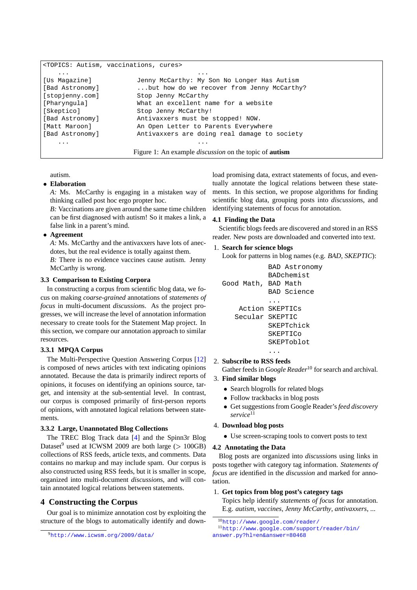```
<TOPICS: Autism, vaccinations, cures>
   ... ...
[Us Magazine] Jenny McCarthy: My Son No Longer Has Autism
[Bad Astronomy] ...but how do we recover from Jenny McCarthy?
[stopjenny.com] Stop Jenny McCarthy
[Pharyngula] What an excellent name for a website
[Skeptico] Stop Jenny McCarthy!
[Bad Astronomy] Antivaxxers must be stopped! NOW.
[Matt Maroon] An Open Letter to Parents Everywhere
[Bad Astronomy] Antivaxxers are doing real damage to society
   ... ...
                   Figure 1: An example discussion on the topic of autism
```
autism.

## **Elaboration**

*A:* Ms. McCarthy is engaging in a mistaken way of thinking called post hoc ergo propter hoc.

*B:* Vaccinations are given around the same time children can be first diagnosed with autism! So it makes a link, a false link in a parent's mind.

## **Agreement**

*A:* Ms. McCarthy and the antivaxxers have lots of anecdotes, but the real evidence is totally against them.

*B:* There is no evidence vaccines cause autism. Jenny McCarthy is wrong.

## **3.3 Comparison to Existing Corpora**

In constructing a corpus from scientific blog data, we focus on making *coarse-grained* annotations of *statements of focus* in multi-document *discussion*s. As the project progresses, we will increase the level of annotation information necessary to create tools for the Statement Map project. In this section, we compare our annotation approach to similar resources.

### **3.3.1 MPQA Corpus**

The Multi-Perspective Question Answering Corpus [\[12\]](#page-3-9) is composed of news articles with text indicating opinions annotated. Because the data is primarily indirect reports of opinions, it focuses on identifying an opinions source, target, and intensity at the sub-sentential level. In contrast, our corpus is composed primarily of first-person reports of opinions, with annotated logical relations between statements.

#### **3.3.2 Large, Unannotated Blog Collections**

The TREC Blog Track data [\[4\]](#page-3-10) and the Spinn3r Blog Dataset<sup>[9](#page-2-1)</sup> used at ICWSM 2009 are both large ( $> 100GB$ ) collections of RSS feeds, article texts, and comments. Data contains no markup and may include spam. Our corpus is also constructed using RSS feeds, but it is smaller in scope, organized into multi-document *discussion*s, and will contain annotated logical relations between statements.

## **4 Constructing the Corpus**

Our goal is to minimize annotation cost by exploiting the structure of the blogs to automatically identify and down<span id="page-2-0"></span>load promising data, extract statements of focus, and eventually annotate the logical relations between these statements. In this section, we propose algorithms for finding scientific blog data, grouping posts into *discussion*s, and identifying statements of focus for annotation.

#### **4.1 Finding the Data**

Scientific blogs feeds are discovered and stored in an RSS reader. New posts are downloaded and converted into text.

### 1. **Search for science blogs**

Look for patterns in blog names (e.g. *BAD*, *SKEPTIC*):

```
BAD Astronomy
           BADchemist
Good Math, BAD Math
           BAD Science
           ...
    Action SKEPTICs
   Secular SKEPTIC
           SKEPTchick
           SKEPTICo
           SKEPToblot
            ...
```
#### 2. **Subscribe to RSS feeds**

Gather feeds in *Google Reader*<sup>[10](#page-2-2)</sup> for search and archival.

#### 3. **Find similar blogs**

- Search blogrolls for related blogs
- Follow trackbacks in blog posts
- Get suggestions from Google Reader's*feed discovery service*[11](#page-2-3)

### 4. **Download blog posts**

Use screen-scraping tools to convert posts to text

#### **4.2 Annotating the Data**

Blog posts are organized into *discussion*s using links in posts together with category tag information. *Statements of focus* are identified in the *discussion* and marked for annotation.

#### 1. **Get topics from blog post's category tags**

Topics help identify *statements of focus* for annotation. E.g. *autism*, *vaccines*, *Jenny McCarthy*, *antivaxxers*, ...

<span id="page-2-1"></span><sup>9</sup><http://www.icwsm.org/2009/data/>

<span id="page-2-3"></span><span id="page-2-2"></span><sup>10</sup><http://www.google.com/reader/>

<sup>11</sup>[http://www.google.com/support/reader/bin/](http://www.google.com/support/reader/bin/answer.py?hl=en&answer=80468) [answer.py?hl=en&answer=80468](http://www.google.com/support/reader/bin/answer.py?hl=en&answer=80468)